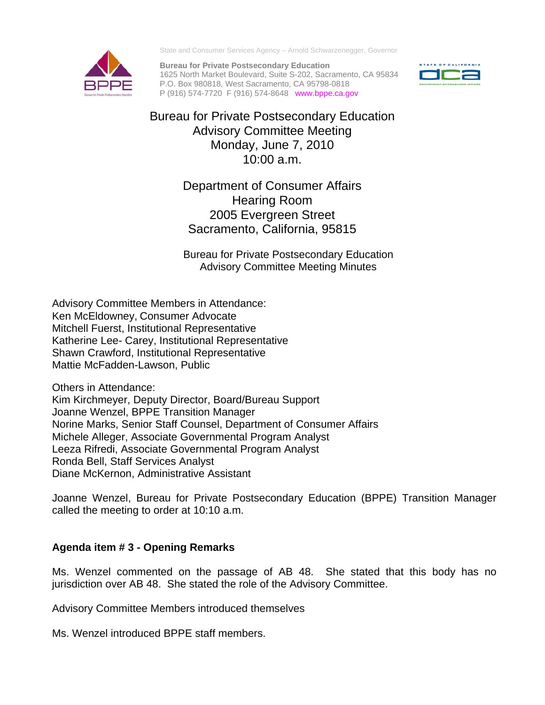

State and Consumer Services Agency – Arnold Schwarzenegger, Governor

**Bureau for Private Postsecondary Education**  1625 North Market Boulevard, Suite S-202, Sacramento, CA 95834 P.O. Box 980818, West Sacramento, CA 95798-0818 P (916) 574-7720 F (916) 574-8648 <www.bppe.ca.gov>



Bureau for Private Postsecondary Education Advisory Committee Meeting Monday, June 7, 2010 10:00 a.m.

> Department of Consumer Affairs Hearing Room 2005 Evergreen Street Sacramento, California, 95815

Bureau for Private Postsecondary Education Advisory Committee Meeting Minutes

Shawn Crawford, Institutional Representative<br>Mattie McFadden-Lawson, Public<br>Others in Attendance: Mattie McFadden-Lawson, Public Advisory Committee Members in Attendance: Ken McEldowney, Consumer Advocate Mitchell Fuerst, Institutional Representative Katherine Lee- Carey, Institutional Representative

Kim Kirchmeyer, Deputy Director, Board/Bureau Support Joanne Wenzel, BPPE Transition Manager Norine Marks, Senior Staff Counsel, Department of Consumer Affairs Michele Alleger, Associate Governmental Program Analyst Leeza Rifredi, Associate Governmental Program Analyst Ronda Bell, Staff Services Analyst Diane McKernon, Administrative Assistant

Joanne Wenzel, Bureau for Private Postsecondary Education (BPPE) Transition Manager called the meeting to order at 10:10 a.m.

# **Agenda item # 3 - Opening Remarks**

Ms. Wenzel commented on the passage of AB 48. She stated that this body has no jurisdiction over AB 48. She stated the role of the Advisory Committee.

Advisory Committee Members introduced themselves

Ms. Wenzel introduced BPPE staff members.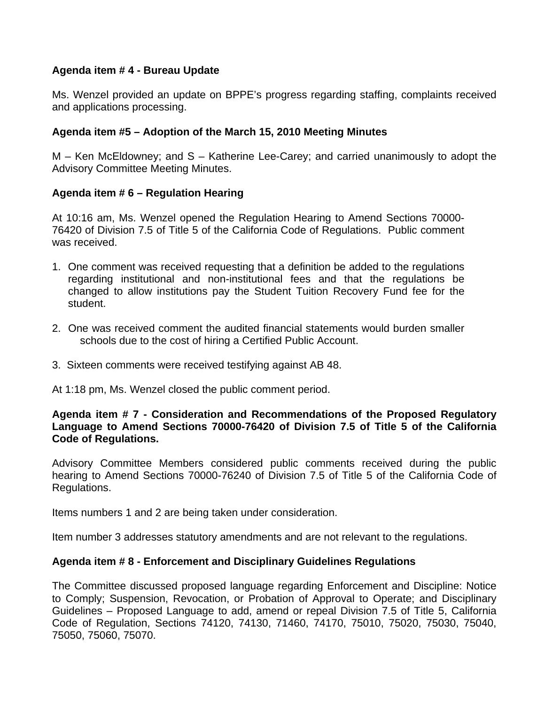### **Agenda item # 4 - Bureau Update**

Ms. Wenzel provided an update on BPPE's progress regarding staffing, complaints received and applications processing.

## **Agenda item #5 – Adoption of the March 15, 2010 Meeting Minutes**

M – Ken McEldowney; and S – Katherine Lee-Carey; and carried unanimously to adopt the Advisory Committee Meeting Minutes.

## **Agenda item # 6 – Regulation Hearing**

At 10:16 am, Ms. Wenzel opened the Regulation Hearing to Amend Sections 70000- 76420 of Division 7.5 of Title 5 of the California Code of Regulations. Public comment was received.

- 1. One comment was received requesting that a definition be added to the regulations regarding institutional and non-institutional fees and that the regulations be changed to allow institutions pay the Student Tuition Recovery Fund fee for the student.
- 2. One was received comment the audited financial statements would burden smaller schools due to the cost of hiring a Certified Public Account.
- 3. Sixteen comments were received testifying against AB 48.

At 1:18 pm, Ms. Wenzel closed the public comment period.

### **Agenda item # 7 - Consideration and Recommendations of the Proposed Regulatory Language to Amend Sections 70000-76420 of Division 7.5 of Title 5 of the California Code of Regulations.**

Advisory Committee Members considered public comments received during the public hearing to Amend Sections 70000-76240 of Division 7.5 of Title 5 of the California Code of Regulations.

Items numbers 1 and 2 are being taken under consideration.

Item number 3 addresses statutory amendments and are not relevant to the regulations.

### **Agenda item # 8 - Enforcement and Disciplinary Guidelines Regulations**

The Committee discussed proposed language regarding Enforcement and Discipline: Notice to Comply; Suspension, Revocation, or Probation of Approval to Operate; and Disciplinary Guidelines – Proposed Language to add, amend or repeal Division 7.5 of Title 5, California Code of Regulation, Sections 74120, 74130, 71460, 74170, 75010, 75020, 75030, 75040, 75050, 75060, 75070.